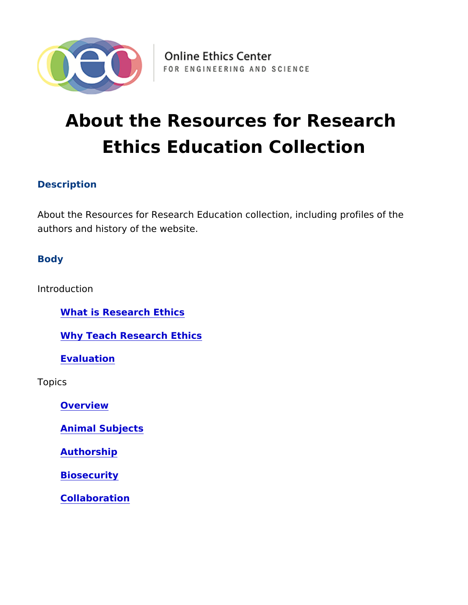# About the Resources for Researc Ethics Education Collection

## Description

About the Resources for Research Education collection, including authors and history of the website.

**Body** 

Introduction

What is Research Ethics

Why Teach Research Ethics

Evaluation

Topics

Overview

Animal Subjects

Authorship

Biosecurity

Collaboration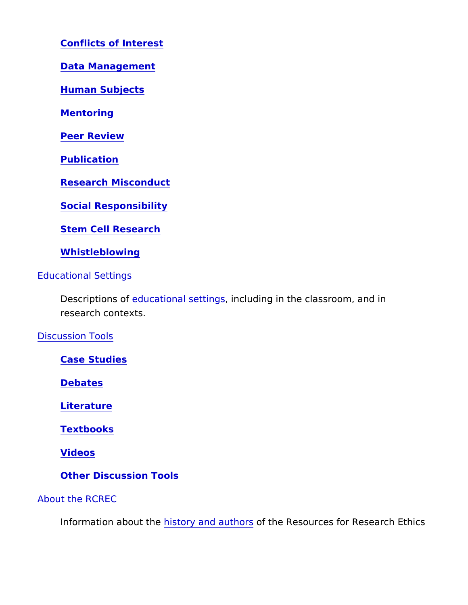Conflicts of Interest

Data Management

Human Subjects

Mentoring

Peer Review

Publication

Research Misconduct

Social Responsibility

Stem Cell Research

Whistleblowing

Educational Settings

Descriptionsdatational settim glading in the classroom, and in research contexts.

Discussion Tools

Case Studies

Debates

Literature

Textbooks

Videos

Other Discussion Tools

About the RCREC

Information aboutist they and autoriouts Resources for Research E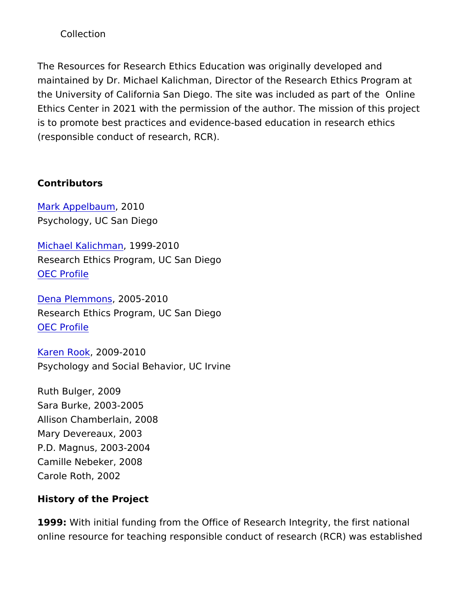### Collection

The Resources for Research Ethics Education was originally deve maintained by Dr. Michael Kalichman, Director of the Research Et the University of California San Diego. The site was included as Ethics Center in 2021 with the permission of the author. The miss is to promote best practices and evidence-based education in res (responsible conduct of research, RCR).

Contributors

#### [Mark Appelb](mailto:mappelbaum@ucsd.edu?subject=Resources for Research Ethics Education)a 2010

Psychology, UC San Diego

[Michael Kalic](mailto:kalichman@ucsd.edu?subject=Resources for Research Ethics Education)hman 99-2010 Research Ethics Program, UC San Diego [OEC Pro](https://www.onlineethics.org/Community/CommunityDirectory/MKalichman.aspx)file

[Dena Plemm](mailto:dplemmons@ucsd.edu?subject=Resources for Research Ethics Education)o 2005-2010 Research Ethics Program, UC San Diego [OEC Pro](https://www.onlineethics.org/Community/CommunityDirectory/30057.aspx)file

[Karen R](mailto:ksrook@uci.edu?subject=Resources for Research Ethics Education)oo2k009-2010 Psychology and Social Behavior, UC Irvine

Ruth Bulger, 2009 Sara Burke, 2003-2005 Allison Chamberlain, 2008 Mary Devereaux, 2003 P.D. Magnus, 2003-2004 Camille Nebeker, 2008 Carole Roth, 2002

History of the Project

1999: With initial funding from the Office of Research Integrity, th online resource for teaching responsible conduct of research (RC